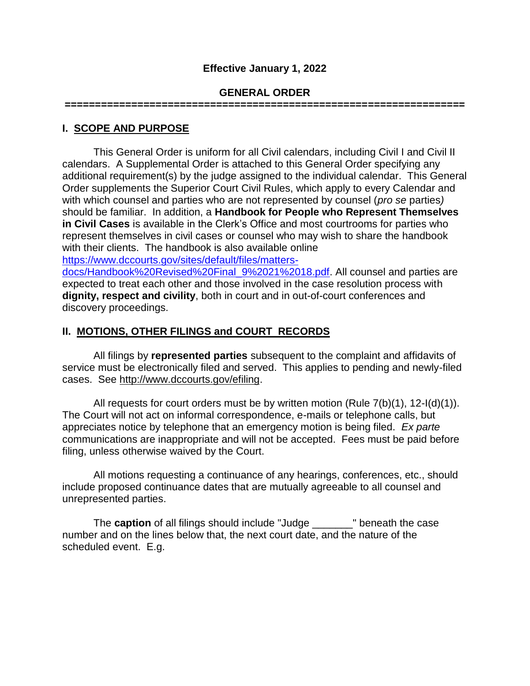### **Effective January 1, 2022**

### **GENERAL ORDER**

**==================================================================** 

### **I. SCOPE AND PURPOSE**

This General Order is uniform for all Civil calendars, including Civil I and Civil II calendars. A Supplemental Order is attached to this General Order specifying any additional requirement(s) by the judge assigned to the individual calendar. This General Order supplements the Superior Court Civil Rules, which apply to every Calendar and with which counsel and parties who are not represented by counsel (*pro se* parties*)* should be familiar. In addition, a **Handbook for People who Represent Themselves in Civil Cases** is available in the Clerk's Office and most courtrooms for parties who represent themselves in civil cases or counsel who may wish to share the handbook with their clients. The handbook is also available online [https://www.dccourts.gov/sites/default/files/matters-](https://www.dccourts.gov/sites/default/files/matters-docs/Handbook%20Revised%20Final_9%2021%2018.pdf)

[docs/Handbook%20Revised%20Final\\_9%2021%2018.pdf.](https://www.dccourts.gov/sites/default/files/matters-docs/Handbook%20Revised%20Final_9%2021%2018.pdf) All counsel and parties are expected to treat each other and those involved in the case resolution process with **dignity, respect and civility**, both in court and in out-of-court conferences and discovery proceedings.

## **II. MOTIONS, OTHER FILINGS and COURT RECORDS**

All filings by **represented parties** subsequent to the complaint and affidavits of service must be electronically filed and served. This applies to pending and newly-filed cases. See [http://www.dccourts.gov/efiling.](http://www.dccourts.gov/efiling)

 All requests for court orders must be by written motion (Rule 7(b)(1), 12-I(d)(1)). The Court will not act on informal correspondence, e-mails or telephone calls, but appreciates notice by telephone that an emergency motion is being filed. *Ex parte* communications are inappropriate and will not be accepted. Fees must be paid before filing, unless otherwise waived by the Court.

All motions requesting a continuance of any hearings, conferences, etc., should include proposed continuance dates that are mutually agreeable to all counsel and unrepresented parties.

The **caption** of all filings should include "Judge \_\_\_\_\_\_\_" beneath the case number and on the lines below that, the next court date, and the nature of the scheduled event. E.g.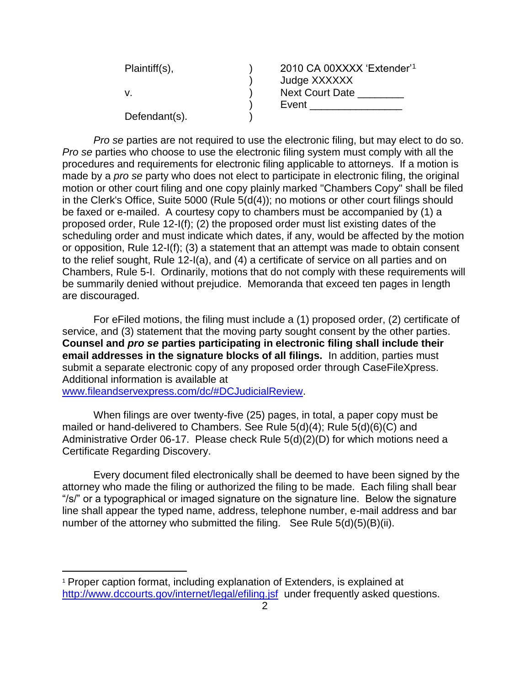| Plaintiff(s), | 2010 CA 00XXXX 'Extender' <sup>1</sup> |
|---------------|----------------------------------------|
|               | Judge XXXXXX                           |
|               | <b>Next Court Date</b>                 |
|               | Event                                  |
| Defendant(s). |                                        |

*Pro se* parties are not required to use the electronic filing, but may elect to do so. *Pro se* parties who choose to use the electronic filing system must comply with all the procedures and requirements for electronic filing applicable to attorneys. If a motion is made by a *pro se* party who does not elect to participate in electronic filing, the original motion or other court filing and one copy plainly marked "Chambers Copy" shall be filed in the Clerk's Office, Suite 5000 (Rule 5(d(4)); no motions or other court filings should be faxed or e-mailed. A courtesy copy to chambers must be accompanied by (1) a proposed order, Rule 12-I(f); (2) the proposed order must list existing dates of the scheduling order and must indicate which dates, if any, would be affected by the motion or opposition, Rule 12-I(f); (3) a statement that an attempt was made to obtain consent to the relief sought, Rule 12-I(a), and (4) a certificate of service on all parties and on Chambers, Rule 5-I. Ordinarily, motions that do not comply with these requirements will be summarily denied without prejudice. Memoranda that exceed ten pages in length are discouraged.

For eFiled motions, the filing must include a (1) proposed order, (2) certificate of service, and (3) statement that the moving party sought consent by the other parties. **Counsel and** *pro se* **parties participating in electronic filing shall include their email addresses in the signature blocks of all filings.** In addition, parties must submit a separate electronic copy of any proposed order through CaseFileXpress. Additional information is available at [www.fileandservexpress.com/dc/#DCJudicialReview.](http://www.fileandservexpress.com/dc/#DCJudicialReview)

When filings are over twenty-five (25) pages, in total, a paper copy must be mailed or hand-delivered to Chambers. See Rule 5(d)(4); Rule 5(d)(6)(C) and Administrative Order 06-17. Please check Rule 5(d)(2)(D) for which motions need a Certificate Regarding Discovery.

Every document filed electronically shall be deemed to have been signed by the attorney who made the filing or authorized the filing to be made. Each filing shall bear "/s/" or a typographical or imaged signature on the signature line. Below the signature line shall appear the typed name, address, telephone number, e-mail address and bar number of the attorney who submitted the filing. See Rule 5(d)(5)(B)(ii).

 $\overline{a}$ 

<sup>1</sup> Proper caption format, including explanation of Extenders, is explained at <http://www.dccourts.gov/internet/legal/efiling.jsf>under frequently asked questions.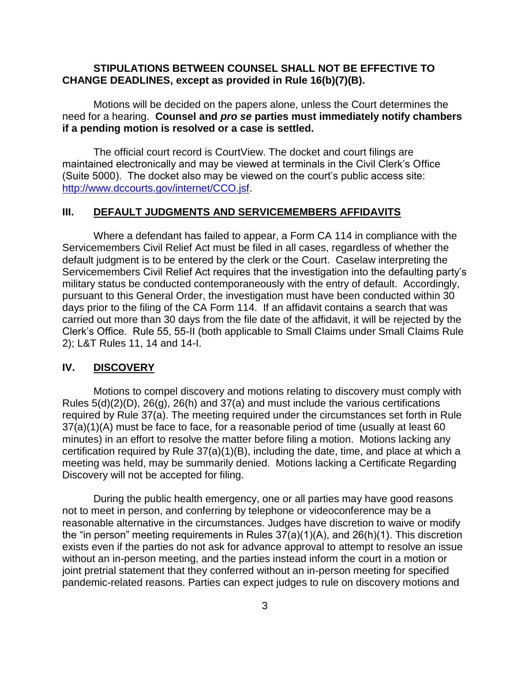### **STIPULATIONS BETWEEN COUNSEL SHALL NOT BE EFFECTIVE TO CHANGE DEADLINES, except as provided in Rule 16(b)(7)(B).**

Motions will be decided on the papers alone, unless the Court determines the need for a hearing. **Counsel and** *pro se* **parties must immediately notify chambers if a pending motion is resolved or a case is settled.**

The official court record is CourtView. The docket and court filings are maintained electronically and may be viewed at terminals in the Civil Clerk's Office (Suite 5000). The docket also may be viewed on the court's public access site: [http://www.dccourts.gov/internet/CCO.jsf.](http://www.dccourts.gov/internet/CCO.jsf)

#### **III. DEFAULT JUDGMENTS AND SERVICEMEMBERS AFFIDAVITS**

Where a defendant has failed to appear, a Form CA 114 in compliance with the Servicemembers Civil Relief Act must be filed in all cases, regardless of whether the default judgment is to be entered by the clerk or the Court. Caselaw interpreting the Servicemembers Civil Relief Act requires that the investigation into the defaulting party's military status be conducted contemporaneously with the entry of default. Accordingly, pursuant to this General Order, the investigation must have been conducted within 30 days prior to the filing of the CA Form 114. If an affidavit contains a search that was carried out more than 30 days from the file date of the affidavit, it will be rejected by the Clerk's Office. Rule 55, 55-II (both applicable to Small Claims under Small Claims Rule 2); L&T Rules 11, 14 and 14-I.

#### **IV. DISCOVERY**

Motions to compel discovery and motions relating to discovery must comply with Rules  $5(d)(2)(D)$ ,  $26(g)$ ,  $26(h)$  and  $37(g)$  and must include the various certifications required by Rule 37(a). The meeting required under the circumstances set forth in Rule 37(a)(1)(A) must be face to face, for a reasonable period of time (usually at least 60 minutes) in an effort to resolve the matter before filing a motion. Motions lacking any certification required by Rule 37(a)(1)(B), including the date, time, and place at which a meeting was held, may be summarily denied. Motions lacking a Certificate Regarding Discovery will not be accepted for filing.

During the public health emergency, one or all parties may have good reasons not to meet in person, and conferring by telephone or videoconference may be a reasonable alternative in the circumstances. Judges have discretion to waive or modify the "in person" meeting requirements in Rules 37(a)(1)(A), and 26(h)(1). This discretion exists even if the parties do not ask for advance approval to attempt to resolve an issue without an in-person meeting, and the parties instead inform the court in a motion or joint pretrial statement that they conferred without an in-person meeting for specified pandemic-related reasons. Parties can expect judges to rule on discovery motions and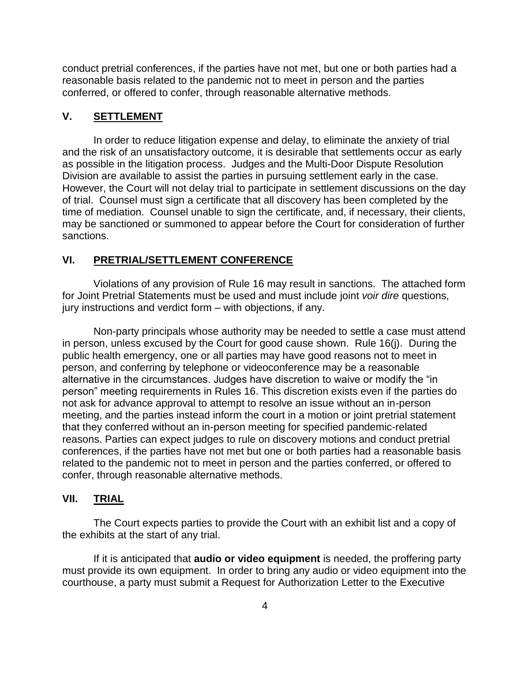conduct pretrial conferences, if the parties have not met, but one or both parties had a reasonable basis related to the pandemic not to meet in person and the parties conferred, or offered to confer, through reasonable alternative methods.

### **V. SETTLEMENT**

In order to reduce litigation expense and delay, to eliminate the anxiety of trial and the risk of an unsatisfactory outcome, it is desirable that settlements occur as early as possible in the litigation process. Judges and the Multi-Door Dispute Resolution Division are available to assist the parties in pursuing settlement early in the case. However, the Court will not delay trial to participate in settlement discussions on the day of trial. Counsel must sign a certificate that all discovery has been completed by the time of mediation. Counsel unable to sign the certificate, and, if necessary, their clients, may be sanctioned or summoned to appear before the Court for consideration of further sanctions.

#### **VI. PRETRIAL/SETTLEMENT CONFERENCE**

Violations of any provision of Rule 16 may result in sanctions. The attached form for Joint Pretrial Statements must be used and must include joint *voir dire* questions, jury instructions and verdict form – with objections, if any.

Non-party principals whose authority may be needed to settle a case must attend in person, unless excused by the Court for good cause shown. Rule 16(j). During the public health emergency, one or all parties may have good reasons not to meet in person, and conferring by telephone or videoconference may be a reasonable alternative in the circumstances. Judges have discretion to waive or modify the "in person" meeting requirements in Rules 16. This discretion exists even if the parties do not ask for advance approval to attempt to resolve an issue without an in-person meeting, and the parties instead inform the court in a motion or joint pretrial statement that they conferred without an in-person meeting for specified pandemic-related reasons. Parties can expect judges to rule on discovery motions and conduct pretrial conferences, if the parties have not met but one or both parties had a reasonable basis related to the pandemic not to meet in person and the parties conferred, or offered to confer, through reasonable alternative methods.

#### **VII. TRIAL**

The Court expects parties to provide the Court with an exhibit list and a copy of the exhibits at the start of any trial.

If it is anticipated that **audio or video equipment** is needed, the proffering party must provide its own equipment. In order to bring any audio or video equipment into the courthouse, a party must submit a Request for Authorization Letter to the Executive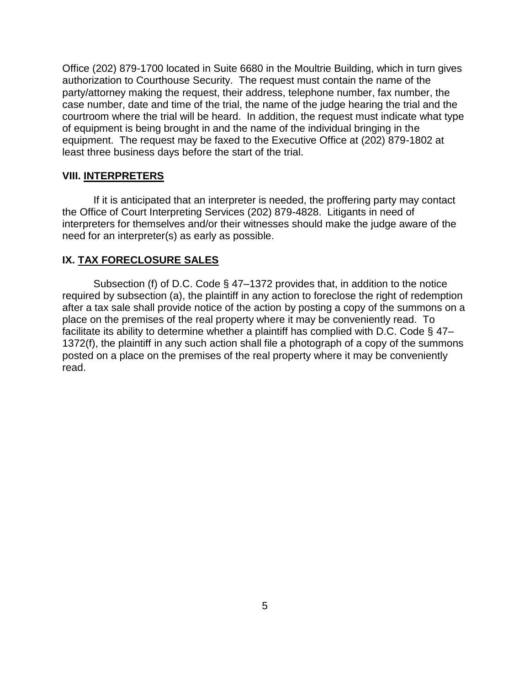Office (202) 879-1700 located in Suite 6680 in the Moultrie Building, which in turn gives authorization to Courthouse Security. The request must contain the name of the party/attorney making the request, their address, telephone number, fax number, the case number, date and time of the trial, the name of the judge hearing the trial and the courtroom where the trial will be heard. In addition, the request must indicate what type of equipment is being brought in and the name of the individual bringing in the equipment. The request may be faxed to the Executive Office at (202) 879-1802 at least three business days before the start of the trial.

#### **VIII. INTERPRETERS**

If it is anticipated that an interpreter is needed, the proffering party may contact the Office of Court Interpreting Services (202) 879-4828. Litigants in need of interpreters for themselves and/or their witnesses should make the judge aware of the need for an interpreter(s) as early as possible.

#### **IX. TAX FORECLOSURE SALES**

Subsection (f) of D.C. Code § 47–1372 provides that, in addition to the notice required by subsection (a), the plaintiff in any action to foreclose the right of redemption after a tax sale shall provide notice of the action by posting a copy of the summons on a place on the premises of the real property where it may be conveniently read. To facilitate its ability to determine whether a plaintiff has complied with D.C. Code § 47– 1372(f), the plaintiff in any such action shall file a photograph of a copy of the summons posted on a place on the premises of the real property where it may be conveniently read.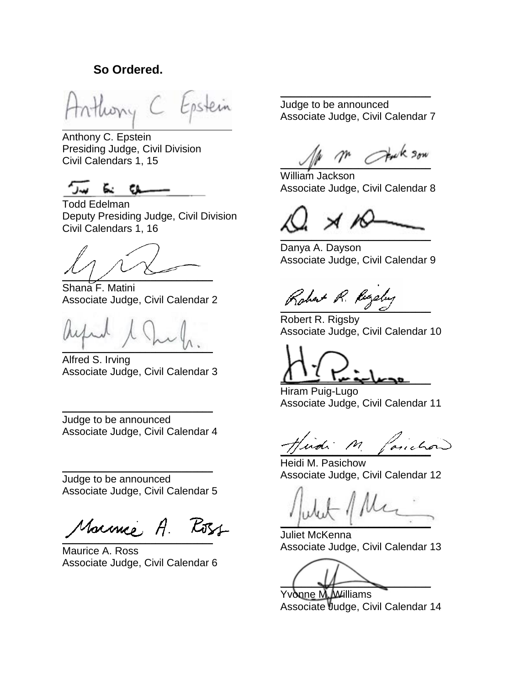## **So Ordered.**

ostein

Anthony C. Epstein Presiding Judge, Civil Division Civil Calendars 1, 15

Todd Edelman Deputy Presiding Judge, Civil Division Civil Calendars 1, 16

 $\sim$ 

Shana F. Matini Associate Judge, Civil Calendar 2

 $\mathcal{L}$   $\mathcal{L}$   $\mathcal{L}$   $\mathcal{L}$   $\mathcal{L}$ 

Alfred S. Irving Associate Judge, Civil Calendar 3

Judge to be announced Associate Judge, Civil Calendar 4

\_\_\_\_\_\_\_\_\_\_\_\_\_\_\_\_\_\_\_\_\_\_\_\_\_\_\_\_\_

\_\_\_\_\_\_\_\_\_\_\_\_\_\_\_\_\_\_\_\_\_\_\_\_\_\_\_\_\_ Judge to be announced Associate Judge, Civil Calendar 5

Marme, A. Koss  $\overline{\phantom{a}}$ 

Maurice A. Ross Associate Judge, Civil Calendar 6

Judge to be announced Associate Judge, Civil Calendar 7

\_\_\_\_\_\_\_\_\_\_\_\_\_\_\_\_\_\_\_\_\_\_\_\_\_\_\_\_\_

 $\vee$   $\vee$   $\vee$   $\vee$   $\vee$   $\vee$ 

William Jackson Associate Judge, Civil Calendar 8

 $\overline{\mathcal{M}}$  $\label{eq:3} \mathcal{L}(\mathcal{L} \otimes \mathcal{L}) = \mathcal{L}(\mathcal{L} \otimes \mathcal{L}) = \mathcal{L}(\mathcal{L} \otimes \mathcal{L}) = \mathcal{L}(\mathcal{L} \otimes \mathcal{L}) = \mathcal{L}(\mathcal{L} \otimes \mathcal{L}) = \mathcal{L}(\mathcal{L} \otimes \mathcal{L}) = \mathcal{L}(\mathcal{L} \otimes \mathcal{L}) = \mathcal{L}(\mathcal{L} \otimes \mathcal{L}) = \mathcal{L}(\mathcal{L} \otimes \mathcal{L}) = \mathcal{L}(\mathcal{L} \otimes$ 

Danya A. Dayson Associate Judge, Civil Calendar 9

Robert R. Ruzeley

Robert R. Rigsby Associate Judge, Civil Calendar 10

 $\frac{1}{2}$   $\frac{1}{2}$   $\frac{1}{2}$   $\frac{1}{2}$   $\frac{1}{2}$   $\frac{1}{2}$   $\frac{1}{2}$   $\frac{1}{2}$   $\frac{1}{2}$   $\frac{1}{2}$   $\frac{1}{2}$   $\frac{1}{2}$   $\frac{1}{2}$   $\frac{1}{2}$   $\frac{1}{2}$   $\frac{1}{2}$   $\frac{1}{2}$   $\frac{1}{2}$   $\frac{1}{2}$   $\frac{1}{2}$   $\frac{1}{2}$   $\frac{1}{2}$ 

Hiram Puig-Lugo Associate Judge, Civil Calendar 11

Findi M faiche

Heidi M. Pasichow Associate Judge, Civil Calendar 12

 $\int$ 

Juliet McKenna Associate Judge, Civil Calendar 13

 $\sqrt{2}$ 

Yvonne M. AVilliams Associate Judge, Civil Calendar 14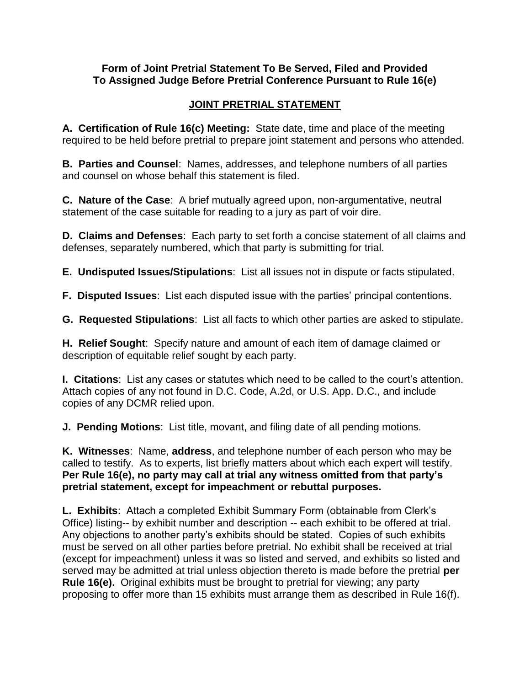### **Form of Joint Pretrial Statement To Be Served, Filed and Provided To Assigned Judge Before Pretrial Conference Pursuant to Rule 16(e)**

# **JOINT PRETRIAL STATEMENT**

**A. Certification of Rule 16(c) Meeting:** State date, time and place of the meeting required to be held before pretrial to prepare joint statement and persons who attended.

**B. Parties and Counsel**: Names, addresses, and telephone numbers of all parties and counsel on whose behalf this statement is filed.

**C. Nature of the Case**: A brief mutually agreed upon, non-argumentative, neutral statement of the case suitable for reading to a jury as part of voir dire.

**D. Claims and Defenses**: Each party to set forth a concise statement of all claims and defenses, separately numbered, which that party is submitting for trial.

**E. Undisputed Issues/Stipulations**: List all issues not in dispute or facts stipulated.

**F. Disputed Issues**: List each disputed issue with the parties' principal contentions.

**G. Requested Stipulations**: List all facts to which other parties are asked to stipulate.

**H. Relief Sought**: Specify nature and amount of each item of damage claimed or description of equitable relief sought by each party.

**I. Citations**: List any cases or statutes which need to be called to the court's attention. Attach copies of any not found in D.C. Code, A.2d, or U.S. App. D.C., and include copies of any DCMR relied upon.

**J. Pending Motions**: List title, movant, and filing date of all pending motions.

**K. Witnesses**: Name, **address**, and telephone number of each person who may be called to testify. As to experts, list briefly matters about which each expert will testify. **Per Rule 16(e), no party may call at trial any witness omitted from that party's pretrial statement, except for impeachment or rebuttal purposes.**

**L. Exhibits**: Attach a completed Exhibit Summary Form (obtainable from Clerk's Office) listing-- by exhibit number and description -- each exhibit to be offered at trial. Any objections to another party's exhibits should be stated. Copies of such exhibits must be served on all other parties before pretrial. No exhibit shall be received at trial (except for impeachment) unless it was so listed and served, and exhibits so listed and served may be admitted at trial unless objection thereto is made before the pretrial **per Rule 16(e).** Original exhibits must be brought to pretrial for viewing; any party proposing to offer more than 15 exhibits must arrange them as described in Rule 16(f).